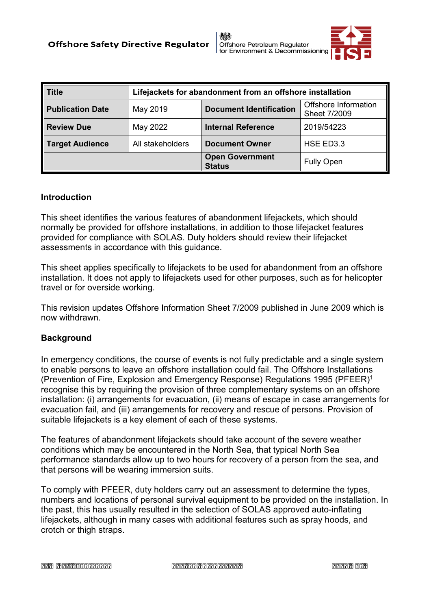

| <b>Title</b>            | Lifejackets for abandonment from an offshore installation |                                         |                                      |
|-------------------------|-----------------------------------------------------------|-----------------------------------------|--------------------------------------|
| <b>Publication Date</b> | May 2019                                                  | <b>Document Identification</b>          | Offshore Information<br>Sheet 7/2009 |
| <b>Review Due</b>       | May 2022                                                  | <b>Internal Reference</b>               | 2019/54223                           |
| <b>Target Audience</b>  | All stakeholders                                          | <b>Document Owner</b>                   | HSE ED3.3                            |
|                         |                                                           | <b>Open Government</b><br><b>Status</b> | <b>Fully Open</b>                    |

## **Introduction**

 This sheet identifies the various features of abandonment lifejackets, which should normally be provided for offshore installations, in addition to those lifejacket features provided for compliance with SOLAS. Duty holders should review their lifejacket assessments in accordance with this guidance.

 This sheet applies specifically to lifejackets to be used for abandonment from an offshore installation. It does not apply to lifejackets used for other purposes, such as for helicopter travel or for overside working.

 This revision updates Offshore Information Sheet 7/2009 published in June 2009 which is now withdrawn.

## **Background**

 In emergency conditions, the course of events is not fully predictable and a single system to enable persons to leave an offshore installation could fail. The Offshore Installations recognise this by requiring the provision of three complementary systems on an offshore installation: (i) arrangements for evacuation, (ii) means of escape in case arrangements for evacuation fail, and (iii) arrangements for recovery and rescue of persons. Provision of (Prevention of Fire, Explosion and Emergency Response) Regulations 1995 (PFEER)1 suitable lifejackets is a key element of each of these systems.

 conditions which may be encountered in the North Sea, that typical North Sea that persons will be wearing immersion suits. The features of abandonment lifejackets should take account of the severe weather performance standards allow up to two hours for recovery of a person from the sea, and

 To comply with PFEER, duty holders carry out an assessment to determine the types, numbers and locations of personal survival equipment to be provided on the installation. In the past, this has usually resulted in the selection of SOLAS approved auto-inflating lifejackets, although in many cases with additional features such as spray hoods, and crotch or thigh straps.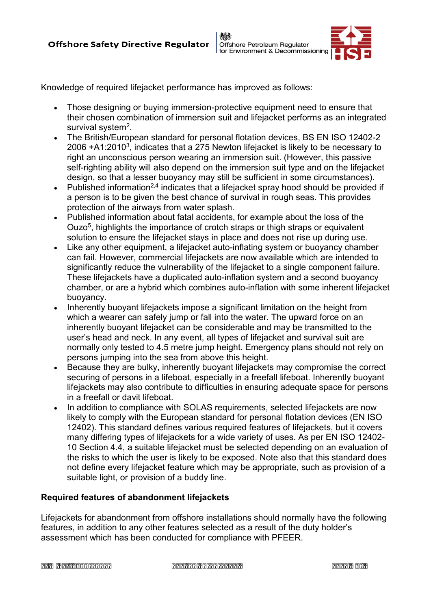



Knowledge of required lifejacket performance has improved as follows:

- • Those designing or buying immersion-protective equipment need to ensure that their chosen combination of immersion suit and lifejacket performs as an integrated survival system2.
- The British/European standard for personal flotation devices, BS EN ISO 12402-2 2006  $+A1:2010<sup>3</sup>$ , indicates that a 275 Newton lifejacket is likely to be necessary to right an unconscious person wearing an immersion suit. (However, this passive self-righting ability will also depend on the immersion suit type and on the lifejacket design, so that a lesser buoyancy may still be sufficient in some circumstances).
- Published information<sup>2,4</sup> indicates that a lifejacket spray hood should be provided if a person is to be given the best chance of survival in rough seas. This provides protection of the airways from water splash.
- Published information about fatal accidents, for example about the loss of the Ouzo5, highlights the importance of crotch straps or thigh straps or equivalent solution to ensure the lifejacket stays in place and does not rise up during use.
- Like any other equipment, a lifejacket auto-inflating system or buoyancy chamber significantly reduce the vulnerability of the lifejacket to a single component failure. buoyancy. can fail. However, commercial lifejackets are now available which are intended to These lifejackets have a duplicated auto-inflation system and a second buoyancy chamber, or are a hybrid which combines auto-inflation with some inherent lifejacket
- Inherently buoyant lifejackets impose a significant limitation on the height from which a wearer can safely jump or fall into the water. The upward force on an user's head and neck. In any event, all types of lifejacket and survival suit are persons jumping into the sea from above this height. inherently buoyant lifejacket can be considerable and may be transmitted to the normally only tested to 4.5 metre jump height. Emergency plans should not rely on
- Because they are bulky, inherently buoyant lifejackets may compromise the correct securing of persons in a lifeboat, especially in a freefall lifeboat. Inherently buoyant lifejackets may also contribute to difficulties in ensuring adequate space for persons in a freefall or davit lifeboat.
- likely to comply with the European standard for personal flotation devices (EN ISO 12402). This standard defines various required features of lifejackets, but it covers many differing types of lifejackets for a wide variety of uses. As per EN ISO 12402- 10 Section 4.4, a suitable lifejacket must be selected depending on an evaluation of the risks to which the user is likely to be exposed. Note also that this standard does not define every lifejacket feature which may be appropriate, such as provision of a • In addition to compliance with SOLAS requirements, selected lifejackets are now suitable light, or provision of a buddy line.

## **Required features of abandonment lifejackets**

 Lifejackets for abandonment from offshore installations should normally have the following features, in addition to any other features selected as a result of the duty holder's assessment which has been conducted for compliance with PFEER.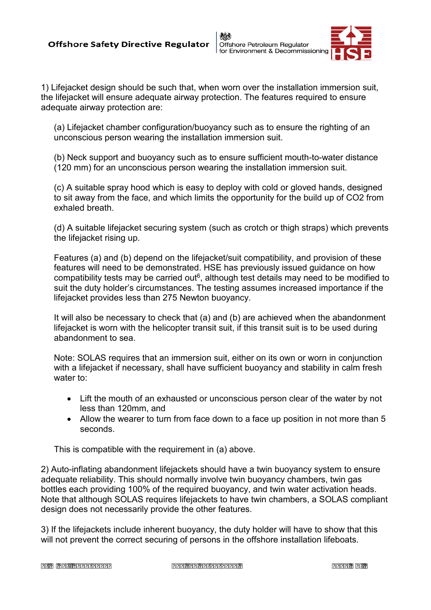《美 Offshore Petroleum Regulator for Environment & Decommissioning



1) Lifejacket design should be such that, when worn over the installation immersion suit, the lifejacket will ensure adequate airway protection. The features required to ensure adequate airway protection are:

(a) Lifejacket chamber configuration/buoyancy such as to ensure the righting of an unconscious person wearing the installation immersion suit.

(b) Neck support and buoyancy such as to ensure sufficient mouth-to-water distance (120 mm) for an unconscious person wearing the installation immersion suit.

(c) A suitable spray hood which is easy to deploy with cold or gloved hands, designed to sit away from the face, and which limits the opportunity for the build up of CO2 from exhaled breath.

(d) A suitable lifejacket securing system (such as crotch or thigh straps) which prevents the lifejacket rising up.

Features (a) and (b) depend on the lifejacket/suit compatibility, and provision of these features will need to be demonstrated. HSE has previously issued guidance on how compatibility tests may be carried out<sup> $6$ </sup>, although test details may need to be modified to suit the duty holder's circumstances. The testing assumes increased importance if the lifejacket provides less than 275 Newton buoyancy.

It will also be necessary to check that (a) and (b) are achieved when the abandonment lifejacket is worn with the helicopter transit suit, if this transit suit is to be used during abandonment to sea.

 Note: SOLAS requires that an immersion suit, either on its own or worn in conjunction with a lifejacket if necessary, shall have sufficient buoyancy and stability in calm fresh water to:

- Lift the mouth of an exhausted or unconscious person clear of the water by not less than 120mm, and
- seconds. • Allow the wearer to turn from face down to a face up position in not more than 5

This is compatible with the requirement in (a) above.

2) Auto-inflating abandonment lifejackets should have a twin buoyancy system to ensure adequate reliability. This should normally involve twin buoyancy chambers, twin gas bottles each providing 100% of the required buoyancy, and twin water activation heads. Note that although SOLAS requires lifejackets to have twin chambers, a SOLAS compliant design does not necessarily provide the other features.

3) If the lifejackets include inherent buoyancy, the duty holder will have to show that this will not prevent the correct securing of persons in the offshore installation lifeboats.